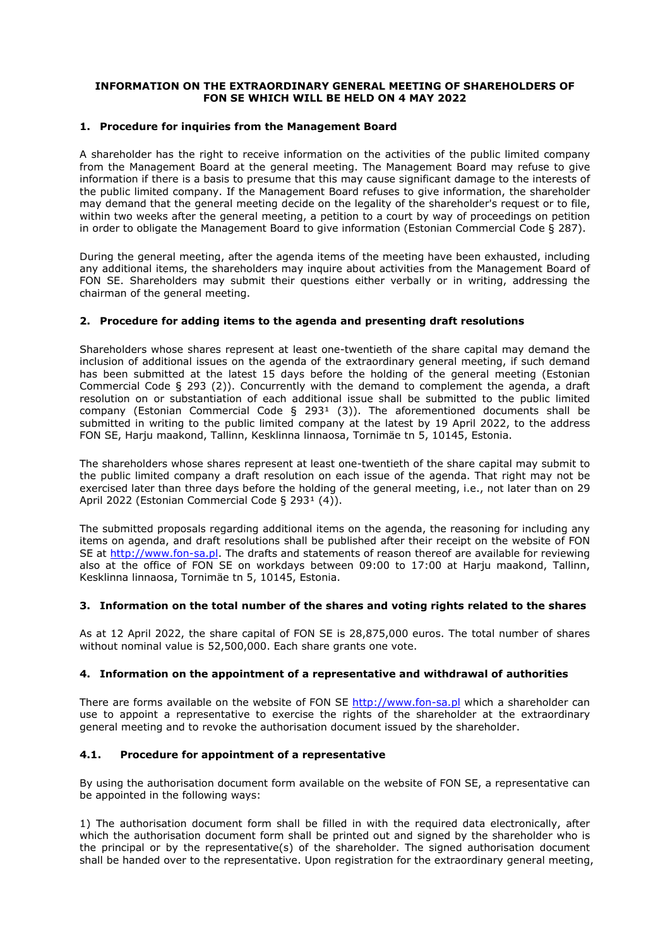#### **INFORMATION ON THE EXTRAORDINARY GENERAL MEETING OF SHAREHOLDERS OF FON SE WHICH WILL BE HELD ON 4 MAY 2022**

#### **1. Procedure for inquiries from the Management Board**

A shareholder has the right to receive information on the activities of the public limited company from the Management Board at the general meeting. The Management Board may refuse to give information if there is a basis to presume that this may cause significant damage to the interests of the public limited company. If the Management Board refuses to give information, the shareholder may demand that the general meeting decide on the legality of the shareholder's request or to file, within two weeks after the general meeting, a petition to a court by way of proceedings on petition in order to obligate the Management Board to give information (Estonian Commercial Code § 287).

During the general meeting, after the agenda items of the meeting have been exhausted, including any additional items, the shareholders may inquire about activities from the Management Board of FON SE. Shareholders may submit their questions either verbally or in writing, addressing the chairman of the general meeting.

## **2. Procedure for adding items to the agenda and presenting draft resolutions**

Shareholders whose shares represent at least one-twentieth of the share capital may demand the inclusion of additional issues on the agenda of the extraordinary general meeting, if such demand has been submitted at the latest 15 days before the holding of the general meeting (Estonian Commercial Code § 293 (2)). Concurrently with the demand to complement the agenda, a draft resolution on or substantiation of each additional issue shall be submitted to the public limited company (Estonian Commercial Code § 293<sup>1</sup> (3)). The aforementioned documents shall be submitted in writing to the public limited company at the latest by 19 April 2022, to the address FON SE, Harju maakond, Tallinn, Kesklinna linnaosa, Tornimäe tn 5, 10145, Estonia.

The shareholders whose shares represent at least one-twentieth of the share capital may submit to the public limited company a draft resolution on each issue of the agenda. That right may not be exercised later than three days before the holding of the general meeting, i.e., not later than on 29 April 2022 (Estonian Commercial Code  $\S$  293<sup>1</sup> (4)).

The submitted proposals regarding additional items on the agenda, the reasoning for including any items on agenda, and draft resolutions shall be published after their receipt on the website of FON SE at [http://www.fon-sa.pl.](http://www.fon-sa.pl) The drafts and statements of reason thereof are available for reviewing also at the office of FON SE on workdays between 09:00 to 17:00 at Harju maakond, Tallinn, Kesklinna linnaosa, Tornimäe tn 5, 10145, Estonia.

## **3. Information on the total number ofthe shares and voting rights related to the shares**

As at 12 April 2022, the share capital of FON SE is 28,875,000 euros. The total number of shares without nominal value is 52,500,000. Each share grants one vote.

## **4. Information on the appointment of a representative and withdrawal of authorities**

There are forms available on the website of FON SE <http://www.fon-sa.pl> which a shareholder can use to appoint a representative to exercise the rights of the shareholder at the extraordinary general meeting and to revoke the authorisation document issued by the shareholder.

# **4.1. Procedure for appointment of a representative**

By using the authorisation document form available on the website of FON SE, a representative can be appointed in the following ways:

1) The authorisation document form shall be filled in with the required data electronically, after which the authorisation document form shall be printed out and signed by the shareholder who is the principal or by the representative(s) of the shareholder. The signed authorisation document shall be handed over to the representative. Upon registration for the extraordinary general meeting,